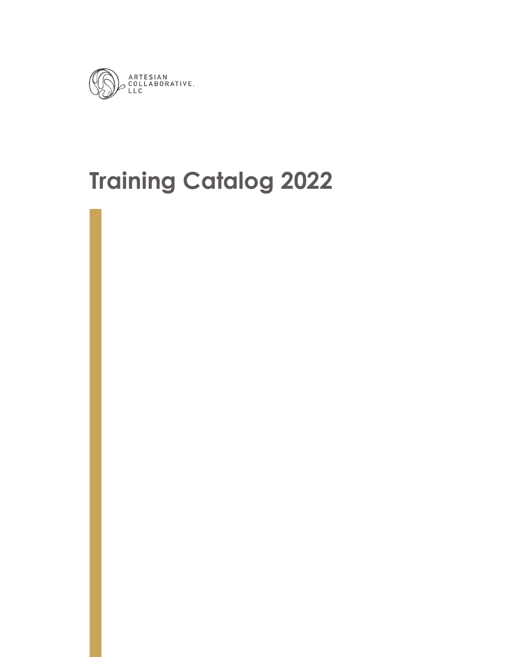

# **Training Catalog 2022**

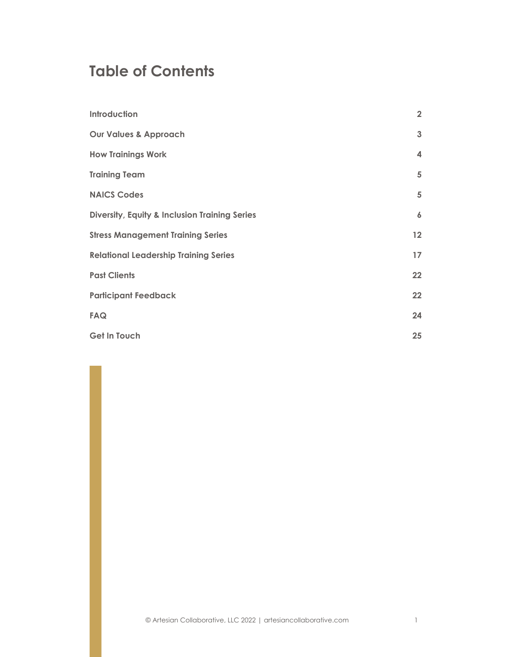## **Table of Contents**

| Introduction                                             | $\overline{2}$          |
|----------------------------------------------------------|-------------------------|
| <b>Our Values &amp; Approach</b>                         | $\mathbf{3}$            |
| <b>How Trainings Work</b>                                | $\overline{\mathbf{4}}$ |
| <b>Training Team</b>                                     | 5                       |
| <b>NAICS Codes</b>                                       | 5                       |
| <b>Diversity, Equity &amp; Inclusion Training Series</b> | $\boldsymbol{6}$        |
| <b>Stress Management Training Series</b>                 | 12                      |
| <b>Relational Leadership Training Series</b>             | 17                      |
| <b>Past Clients</b>                                      | 22                      |
| <b>Participant Feedback</b>                              | 22                      |
| <b>FAQ</b>                                               | 24                      |
| <b>Get In Touch</b>                                      | 25                      |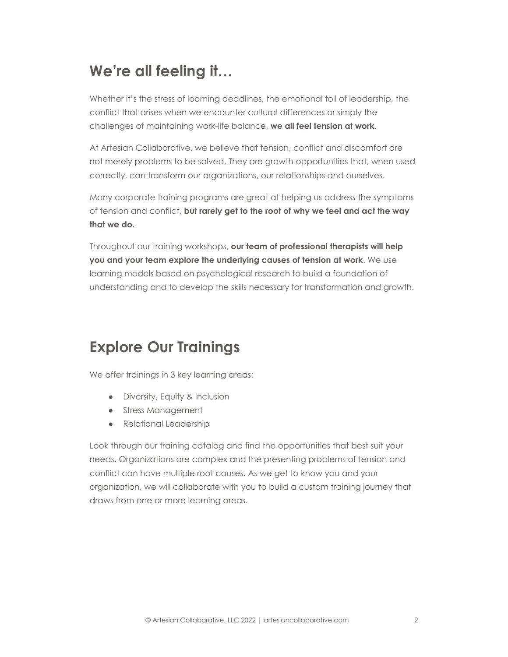## <span id="page-2-0"></span>**We're all feeling it…**

Whether it's the stress of looming deadlines, the emotional toll of leadership, the conflict that arises when we encounter cultural differences or simply the challenges of maintaining work-life balance, **we all feel tension at work**.

At Artesian Collaborative, we believe that tension, conflict and discomfort are not merely problems to be solved. They are growth opportunities that, when used correctly, can transform our organizations, our relationships and ourselves.

Many corporate training programs are great at helping us address the symptoms of tension and conflict, **but rarely get to the root of why we feel and act the way that we do.**

Throughout our training workshops, **our team of professional therapists will help you and your team explore the underlying causes of tension at work**. We use learning models based on psychological research to build a foundation of understanding and to develop the skills necessary for transformation and growth.

## **Explore Our Trainings**

We offer trainings in 3 key learning areas:

- Diversity, Equity & Inclusion
- Stress Management
- Relational Leadership

Look through our training catalog and find the opportunities that best suit your needs. Organizations are complex and the presenting problems of tension and conflict can have multiple root causes. As we get to know you and your organization, we will collaborate with you to build a custom training journey that draws from one or more learning areas.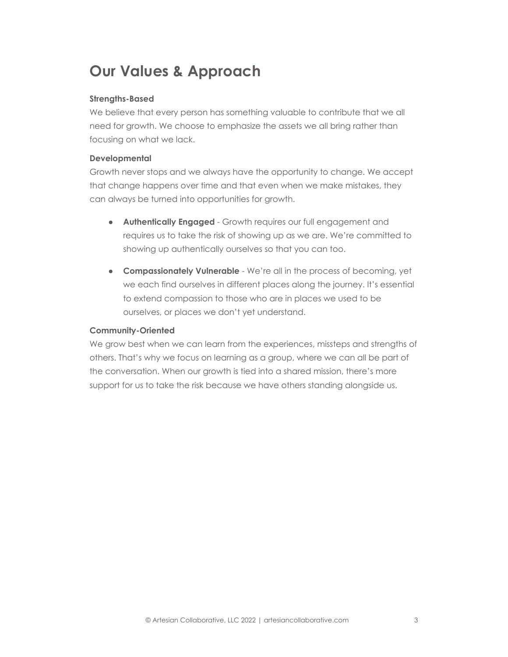# <span id="page-3-0"></span>**Our Values & Approach**

#### **Strengths-Based**

We believe that every person has something valuable to contribute that we all need for growth. We choose to emphasize the assets we all bring rather than focusing on what we lack.

#### **Developmental**

Growth never stops and we always have the opportunity to change. We accept that change happens over time and that even when we make mistakes, they can always be turned into opportunities for growth.

- **Authentically Engaged** Growth requires our full engagement and requires us to take the risk of showing up as we are. We're committed to showing up authentically ourselves so that you can too.
- **Compassionately Vulnerable** We're all in the process of becoming, yet we each find ourselves in different places along the journey. It's essential to extend compassion to those who are in places we used to be ourselves, or places we don't yet understand.

#### **Community-Oriented**

We grow best when we can learn from the experiences, missteps and strengths of others. That's why we focus on learning as a group, where we can all be part of the conversation. When our growth is tied into a shared mission, there's more support for us to take the risk because we have others standing alongside us.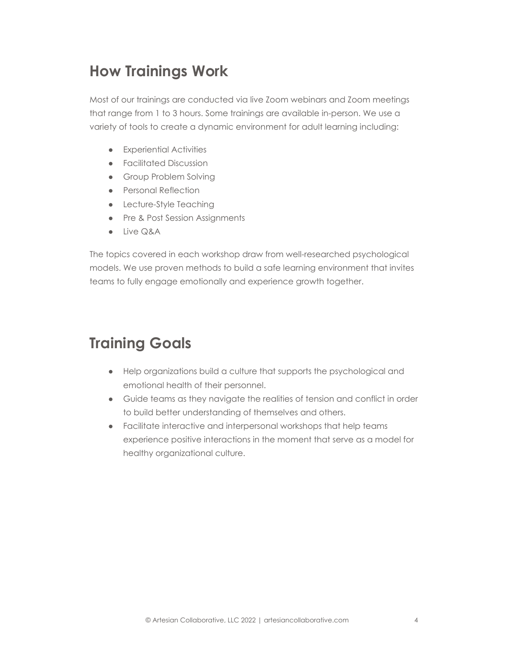## <span id="page-4-0"></span>**How Trainings Work**

Most of our trainings are conducted via live Zoom webinars and Zoom meetings that range from 1 to 3 hours. Some trainings are available in-person. We use a variety of tools to create a dynamic environment for adult learning including:

- Experiential Activities
- Facilitated Discussion
- Group Problem Solving
- Personal Reflection
- Lecture-Style Teaching
- Pre & Post Session Assignments
- Live Q&A

The topics covered in each workshop draw from well-researched psychological models. We use proven methods to build a safe learning environment that invites teams to fully engage emotionally and experience growth together.

## **Training Goals**

- Help organizations build a culture that supports the psychological and emotional health of their personnel.
- Guide teams as they navigate the realities of tension and conflict in order to build better understanding of themselves and others.
- Facilitate interactive and interpersonal workshops that help teams experience positive interactions in the moment that serve as a model for healthy organizational culture.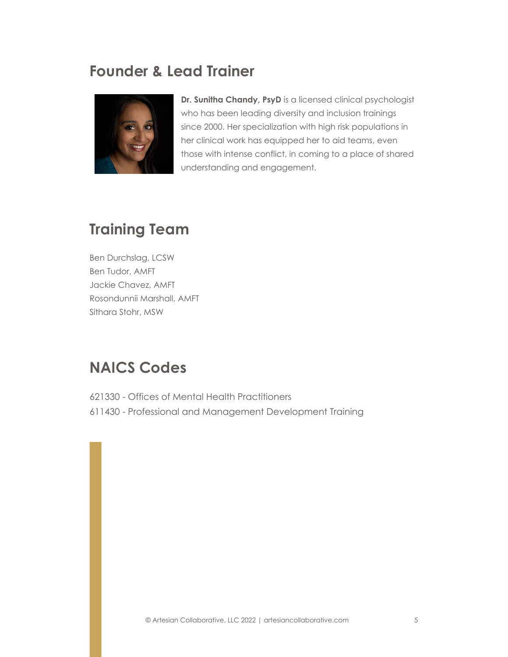## <span id="page-5-0"></span>**Founder & Lead Trainer**



**Dr. Sunitha Chandy, PsyD** is a licensed clinical psychologist who has been leading diversity and inclusion trainings since 2000. Her specialization with high risk populations in her clinical work has equipped her to aid teams, even those with intense conflict, in coming to a place of shared understanding and engagement.

# **Training Team**

Ben Durchslag, LCSW Ben Tudor, AMFT Jackie Chavez, AMFT Rosondunnii Marshall, AMFT Sithara Stohr, MSW

## <span id="page-5-1"></span>**NAICS Codes**

621330 - Offices of Mental Health Practitioners 611430 - Professional and Management Development Training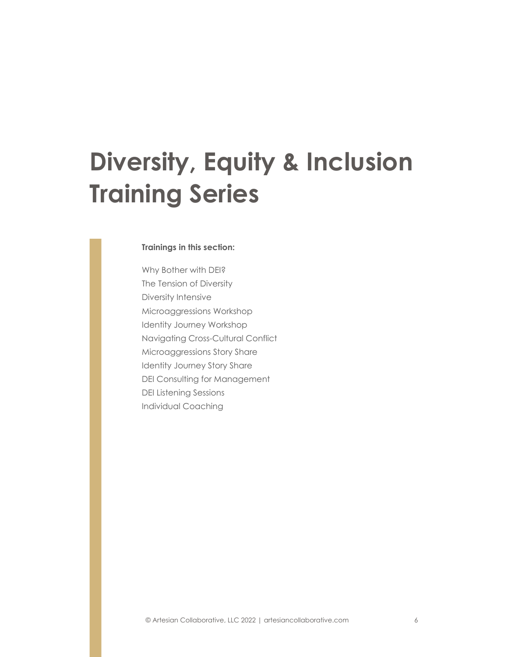# **Diversity, Equity & Inclusion Training Series**

#### **Trainings in this section:**

Why Bother with DEI? The Tension of Diversity Diversity Intensive Microaggressions Workshop Identity Journey Workshop Navigating Cross-Cultural Conflict Microaggressions Story Share Identity Journey Story Share DEI Consulting for Management DEI Listening Sessions Individual Coaching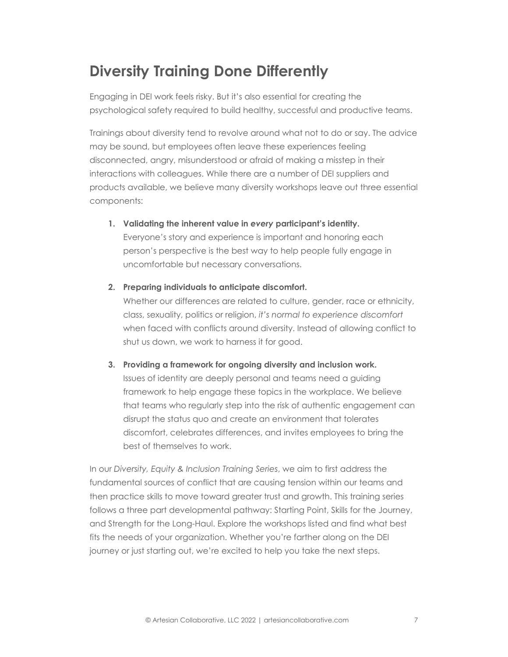## **Diversity Training Done Differently**

Engaging in DEI work feels risky. But it's also essential for creating the psychological safety required to build healthy, successful and productive teams.

Trainings about diversity tend to revolve around what not to do or say. The advice may be sound, but employees often leave these experiences feeling disconnected, angry, misunderstood or afraid of making a misstep in their interactions with colleagues. While there are a number of DEI suppliers and products available, we believe many diversity workshops leave out three essential components:

**1. Validating the inherent value in** *every* **participant's identity.**

Everyone's story and experience is important and honoring each person's perspective is the best way to help people fully engage in uncomfortable but necessary conversations.

**2. Preparing individuals to anticipate discomfort.**

Whether our differences are related to culture, gender, race or ethnicity, class, sexuality, politics or religion, *it's normal to experience discomfort* when faced with conflicts around diversity. Instead of allowing conflict to shut us down, we work to harness it for good.

**3. Providing a framework for ongoing diversity and inclusion work.**

Issues of identity are deeply personal and teams need a guiding framework to help engage these topics in the workplace. We believe that teams who regularly step into the risk of authentic engagement can disrupt the status quo and create an environment that tolerates discomfort, celebrates differences, and invites employees to bring the best of themselves to work.

In our *Diversity, Equity & Inclusion Training Series*, we aim to first address the fundamental sources of conflict that are causing tension within our teams and then practice skills to move toward greater trust and growth. This training series follows a three part developmental pathway: Starting Point, Skills for the Journey, and Strength for the Long-Haul. Explore the workshops listed and find what best fits the needs of your organization. Whether you're farther along on the DEI journey or just starting out, we're excited to help you take the next steps.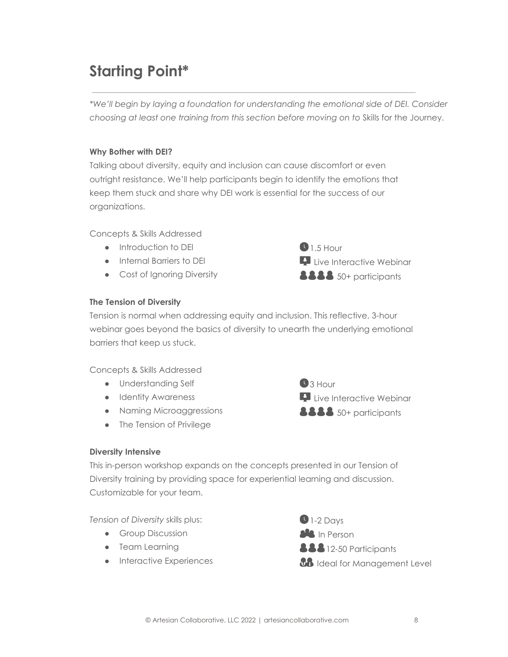# **Starting Point\***

*\*We'll begin by laying a foundation for understanding the emotional side of DEI. Consider choosing at least one training from this section before moving on to* Skills for the Journey.

#### **Why Bother with DEI?**

Talking about diversity, equity and inclusion can cause discomfort or even outright resistance. We'll help participants begin to identify the emotions that keep them stuck and share why DEI work is essential for the success of our organizations.

Concepts & Skills Addressed

- Introduction to DEI
- Internal Barriers to DEI
- Cost of Ignoring Diversity



## **The Tension of Diversity**

Tension is normal when addressing equity and inclusion. This reflective, 3-hour webinar goes beyond the basics of diversity to unearth the underlying emotional barriers that keep us stuck.

Concepts & Skills Addressed

- Understanding Self
- **•** Identity Awareness
- Naming Microaggressions
- The Tension of Privilege



#### **Diversity Intensive**

This in-person workshop expands on the concepts presented in our Tension of Diversity training by providing space for experiential learning and discussion. Customizable for your team.

*Tension of Diversity* skills plus:

- **•** Group Discussion
- Team Learning
- **•** Interactive Experiences

 $\bigcirc$  1-2 Days **als** In Person **888** 12-50 Participants *BB* Ideal for Management Level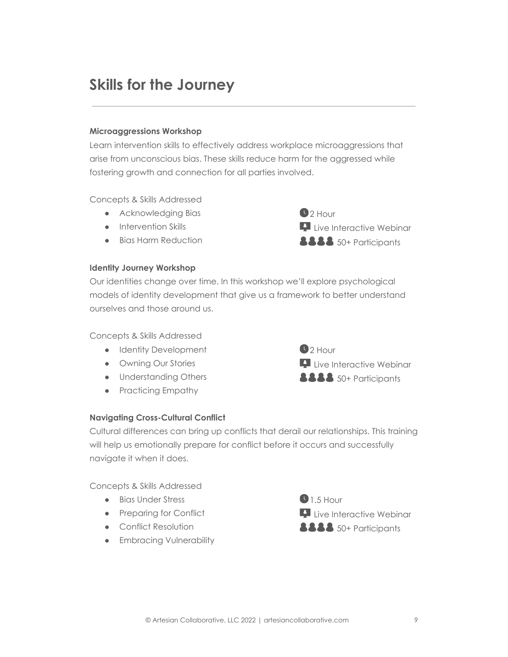## **Skills for the Journey**

#### **Microaggressions Workshop**

Learn intervention skills to effectively address workplace microaggressions that arise from unconscious bias. These skills reduce harm for the aggressed while fostering growth and connection for all parties involved.

Concepts & Skills Addressed

- Acknowledging Bias
- Intervention Skills
- Bias Harm Reduction

#### **Identity Journey Workshop**

Our identities change over time. In this workshop we'll explore psychological models of identity development that give us a framework to better understand ourselves and those around us.

#### Concepts & Skills Addressed

- Identity Development
- Owning Our Stories
- Understanding Others
- Practicing Empathy

#### **Navigating Cross-Cultural Conflict**



**Live Interactive Webinar 8888** 50+ Participants

 $2$  Hour

Cultural differences can bring up conflicts that derail our relationships. This training will help us emotionally prepare for conflict before it occurs and successfully navigate it when it does.

Concepts & Skills Addressed

- Bias Under Stress
- Preparing for Conflict
- Conflict Resolution
- **•** Embracing Vulnerability

 $0.5$  Hour **Live Interactive Webinar 8888** 50+ Participants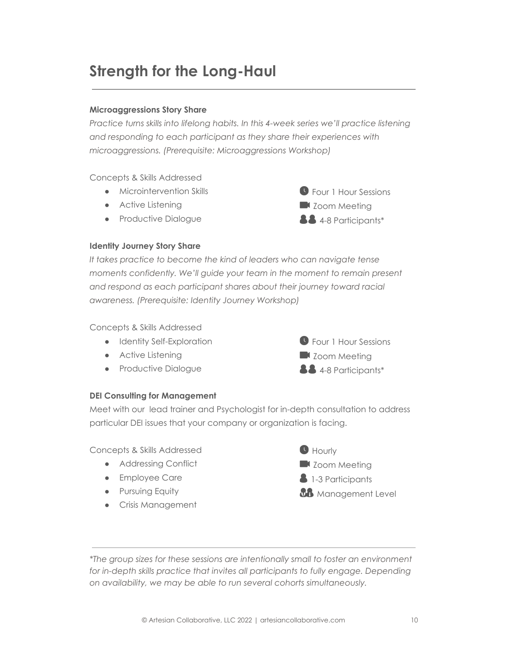## **Strength for the Long-Haul**

## **Microaggressions Story Share**

*Practice turns skills into lifelong habits. In this 4-week series we'll practice listening and responding to each participant as they share their experiences with microaggressions. (Prerequisite: Microaggressions Workshop)*

Concepts & Skills Addressed

- Microintervention Skills
- Active Listening
- Productive Dialogue



#### **Identity Journey Story Share**

*It takes practice to become the kind of leaders who can navigate tense moments confidently. We'll guide your team in the moment to remain present and respond as each participant shares about their journey toward racial awareness. (Prerequisite: Identity Journey Workshop)*

Concepts & Skills Addressed

- Identity Self-Exploration
- Active Listening
- Productive Dialogue



#### **DEI Consulting for Management**

Meet with our lead trainer and Psychologist for in-depth consultation to address particular DEI issues that your company or organization is facing.

Concepts & Skills Addressed

- Addressing Conflict
- Employee Care
- **•** Pursuing Equity
- Crisis Management



*\*The group sizes for these sessions are intentionally small to foster an environment for in-depth skills practice that invites all participants to fully engage. Depending on availability, we may be able to run several cohorts simultaneously.*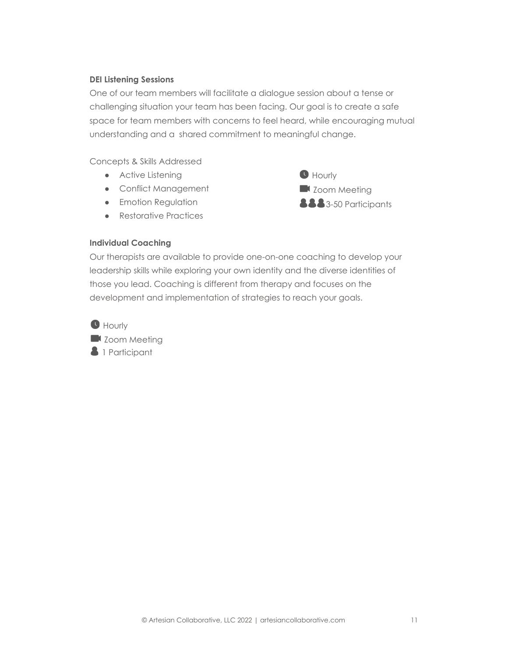## **DEI Listening Sessions**

One of our team members will facilitate a dialogue session about a tense or challenging situation your team has been facing. Our goal is to create a safe space for team members with concerns to feel heard, while encouraging mutual understanding and a shared commitment to meaningful change.

Concepts & Skills Addressed

- Active Listening
- Conflict Management
- **•** Emotion Regulation
- Restorative Practices



#### **Individual Coaching**

Our therapists are available to provide one-on-one coaching to develop your leadership skills while exploring your own identity and the diverse identities of those you lead. Coaching is different from therapy and focuses on the development and implementation of strategies to reach your goals.

**O** Hourly

**Zoom Meeting 3** 1 Participant

© Artesian Collaborative, LLC 2022 | artesiancollaborative.com 11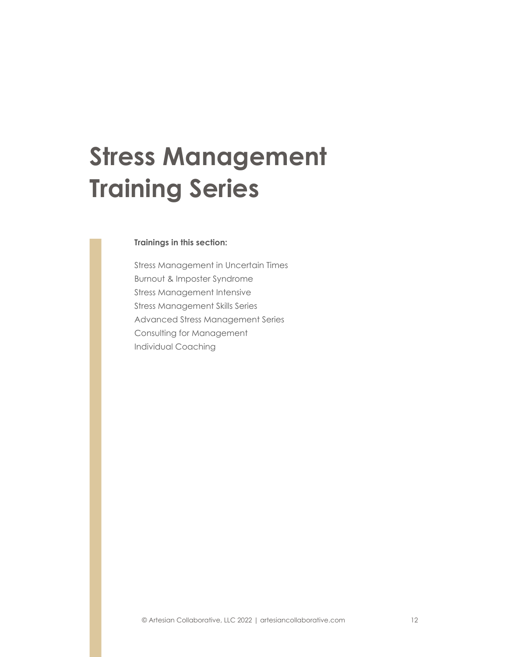# **Stress Management Training Series**

#### **Trainings in this section:**

Stress Management in Uncertain Times Burnout & Imposter Syndrome Stress Management Intensive Stress Management Skills Series Advanced Stress Management Series Consulting for Management Individual Coaching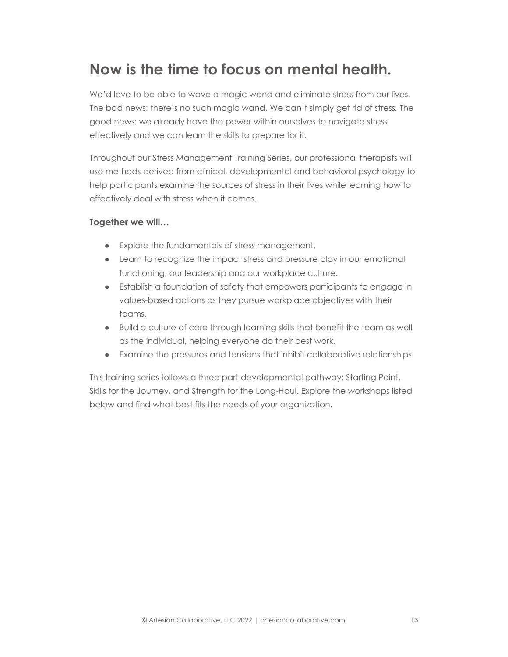## **Now is the time to focus on mental health.**

We'd love to be able to wave a magic wand and eliminate stress from our lives. The bad news: there's no such magic wand. We can't simply get rid of stress*.* The good news: we already have the power within ourselves to navigate stress effectively and we can learn the skills to prepare for it.

Throughout our Stress Management Training Series, our professional therapists will use methods derived from clinical, developmental and behavioral psychology to help participants examine the sources of stress in their lives while learning how to effectively deal with stress when it comes.

## **Together we will…**

- Explore the fundamentals of stress management.
- Learn to recognize the impact stress and pressure play in our emotional functioning, our leadership and our workplace culture.
- Establish a foundation of safety that empowers participants to engage in values-based actions as they pursue workplace objectives with their teams.
- Build a culture of care through learning skills that benefit the team as well as the individual, helping everyone do their best work.
- Examine the pressures and tensions that inhibit collaborative relationships.

This training series follows a three part developmental pathway: Starting Point, Skills for the Journey, and Strength for the Long-Haul. Explore the workshops listed below and find what best fits the needs of your organization.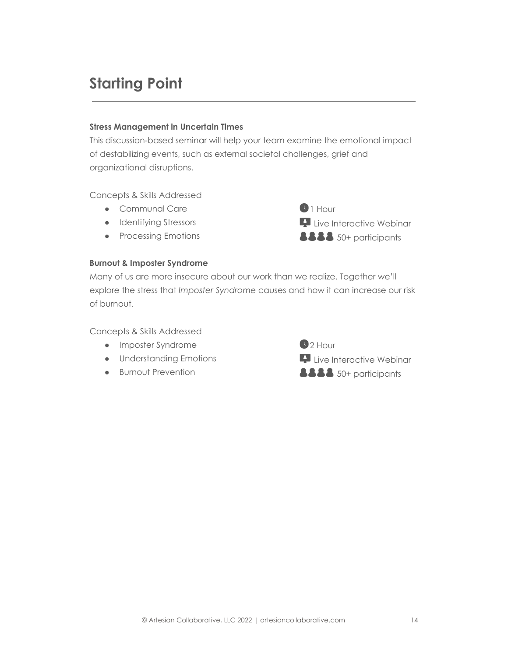# **Starting Point**

#### **Stress Management in Uncertain Times**

This discussion-based seminar will help your team examine the emotional impact of destabilizing events, such as external societal challenges, grief and organizational disruptions.

Concepts & Skills Addressed

- Communal Care
- Identifying Stressors
- Processing Emotions

## **Burnout & Imposter Syndrome**

Many of us are more insecure about our work than we realize. Together we'll explore the stress that *Imposter Syndrome* causes and how it can increase our risk of burnout.

Concepts & Skills Addressed

- Imposter Syndrome
- Understanding Emotions
- Burnout Prevention

 $2$  Hour **Live Interactive Webinar 8888** 50+ participants

**Live Interactive Webinar**  $888$  50+ participants

 $\bigcirc$  1 Hour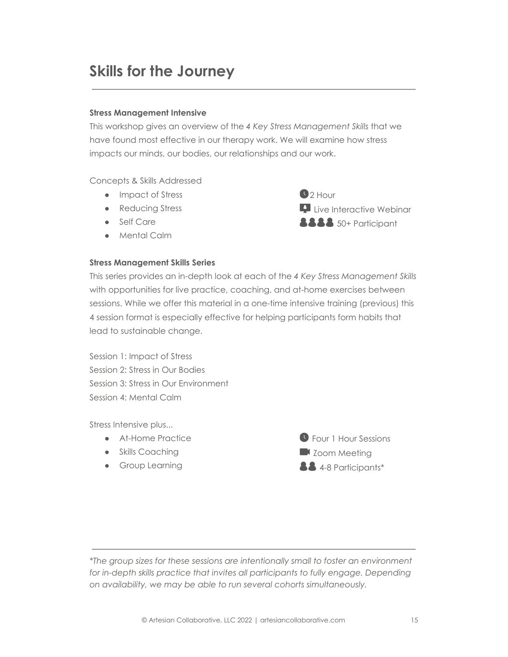## **Skills for the Journey**

#### **Stress Management Intensive**

This workshop gives an overview of the *4 Key Stress Management Skills* that we have found most effective in our therapy work. We will examine how stress impacts our minds, our bodies, our relationships and our work.

Concepts & Skills Addressed

- Impact of Stress
- Reducing Stress
- Self Care
- Mental Calm

#### **Stress Management Skills Series**

 $2$  Hour **Live Interactive Webinar 8888** 50+ Participant

This series provides an in-depth look at each of the *4 Key Stress Management Skills* with opportunities for live practice, coaching, and at-home exercises between sessions. While we offer this material in a one-time intensive training (previous) this 4 session format is especially effective for helping participants form habits that lead to sustainable change.

Session 1: Impact of Stress Session 2: Stress in Our Bodies Session 3: Stress in Our Environment Session 4: Mental Calm

Stress Intensive plus...

- At-Home Practice
- Skills Coaching
- **•** Group Learning



*\*The group sizes for these sessions are intentionally small to foster an environment for in-depth skills practice that invites all participants to fully engage. Depending on availability, we may be able to run several cohorts simultaneously.*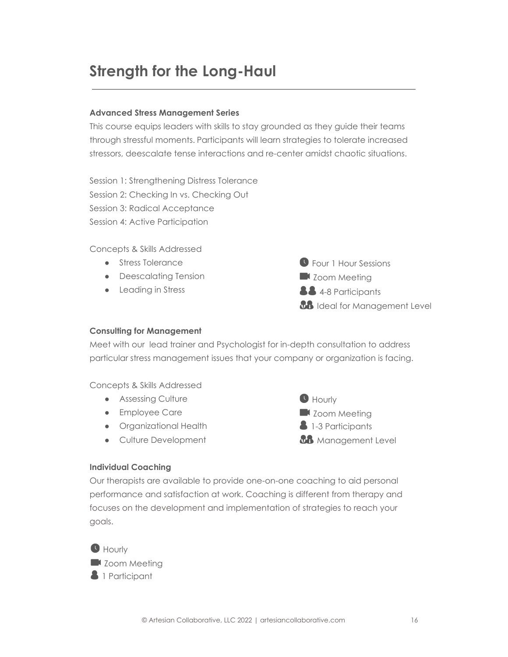## **Strength for the Long-Haul**

#### **Advanced Stress Management Series**

This course equips leaders with skills to stay grounded as they guide their teams through stressful moments. Participants will learn strategies to tolerate increased stressors, deescalate tense interactions and re-center amidst chaotic situations.

Session 1: Strengthening Distress Tolerance Session 2: Checking In vs. Checking Out Session 3: Radical Acceptance Session 4: Active Participation

Concepts & Skills Addressed

- Stress Tolerance
- Deescalating Tension
- Leading in Stress



#### **Consulting for Management**

Meet with our lead trainer and Psychologist for in-depth consultation to address particular stress management issues that your company or organization is facing.

Concepts & Skills Addressed

- Assessing Culture
- Employee Care
- Organizational Health
- Culture Development



## **Individual Coaching**

Our therapists are available to provide one-on-one coaching to aid personal performance and satisfaction at work. Coaching is different from therapy and focuses on the development and implementation of strategies to reach your goals.

**O** Hourly **Zoom Meeting 4** 1 Participant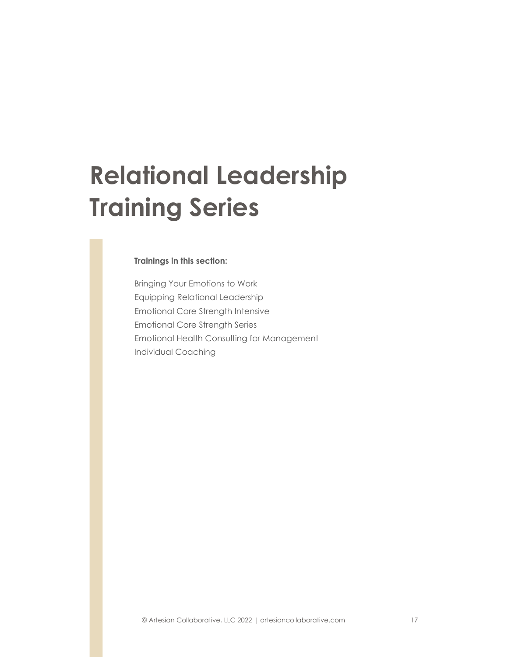# **Relational Leadership Training Series**

#### **Trainings in this section:**

Bringing Your Emotions to Work Equipping Relational Leadership Emotional Core Strength Intensive Emotional Core Strength Series Emotional Health Consulting for Management Individual Coaching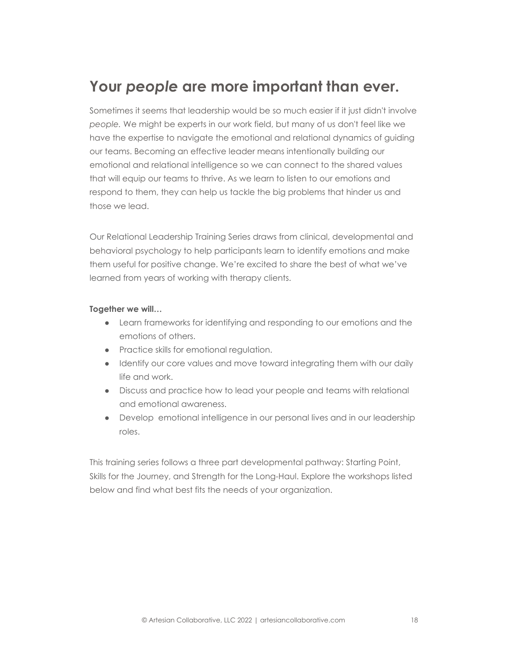## **Your** *people* **are more important than ever.**

Sometimes it seems that leadership would be so much easier if it just didn't involve *people.* We might be experts in our work field, but many of us don't feel like we have the expertise to navigate the emotional and relational dynamics of guiding our teams. Becoming an effective leader means intentionally building our emotional and relational intelligence so we can connect to the shared values that will equip our teams to thrive. As we learn to listen to our emotions and respond to them, they can help us tackle the big problems that hinder us and those we lead.

Our Relational Leadership Training Series draws from clinical, developmental and behavioral psychology to help participants learn to identify emotions and make them useful for positive change. We're excited to share the best of what we've learned from years of working with therapy clients.

#### **Together we will…**

- Learn frameworks for identifying and responding to our emotions and the emotions of others.
- Practice skills for emotional regulation.
- Identify our core values and move toward integrating them with our daily life and work.
- Discuss and practice how to lead your people and teams with relational and emotional awareness.
- Develop emotional intelligence in our personal lives and in our leadership roles.

This training series follows a three part developmental pathway: Starting Point, Skills for the Journey, and Strength for the Long-Haul. Explore the workshops listed below and find what best fits the needs of your organization.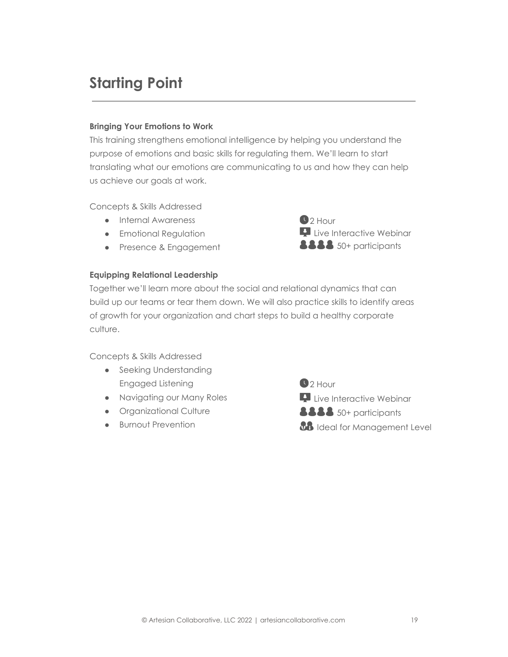## **Starting Point**

#### **Bringing Your Emotions to Work**

This training strengthens emotional intelligence by helping you understand the purpose of emotions and basic skills for regulating them. We'll learn to start translating what our emotions are communicating to us and how they can help us achieve our goals at work.

Concepts & Skills Addressed

- Internal Awareness
- **•** Emotional Regulation
- Presence & Engagement



#### **Equipping Relational Leadership**

Together we'll learn more about the social and relational dynamics that can build up our teams or tear them down. We will also practice skills to identify areas of growth for your organization and chart steps to build a healthy corporate culture.

Concepts & Skills Addressed

- Seeking Understanding Engaged Listening
- Navigating our Many Roles
- Organizational Culture
- Burnout Prevention

 $2$  Hour **Live Interactive Webinar 8888** 50+ participants *BB* Ideal for Management Level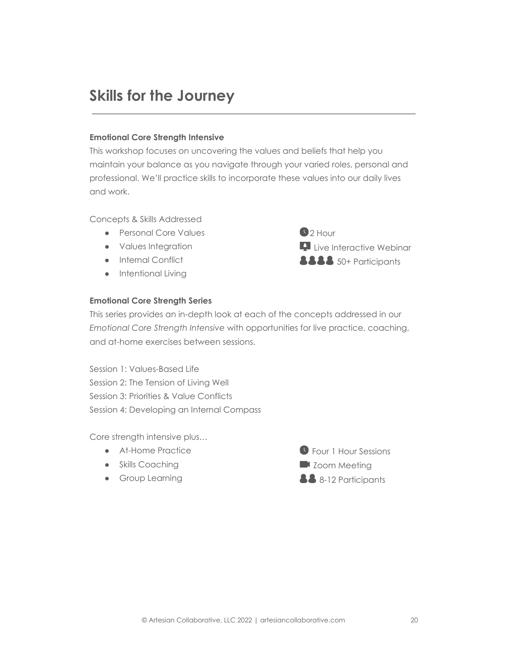## **Skills for the Journey**

#### **Emotional Core Strength Intensive**

This workshop focuses on uncovering the values and beliefs that help you maintain your balance as you navigate through your varied roles, personal and professional. We'll practice skills to incorporate these values into our daily lives and work.

Concepts & Skills Addressed

- Personal Core Values
- Values Integration
- Internal Conflict
- Intentional Living

 $22$  Hour **Live Interactive Webinar 8888** 50+ Participants

## **Emotional Core Strength Series**

This series provides an in-depth look at each of the concepts addressed in our *Emotional Core Strength Intensive* with opportunities for live practice, coaching, and at-home exercises between sessions.

Session 1: Values-Based Life Session 2: The Tension of Living Well Session 3: Priorities & Value Conflicts Session 4: Developing an Internal Compass

Core strength intensive plus…

- At-Home Practice
- Skills Coaching
- **•** Group Learning

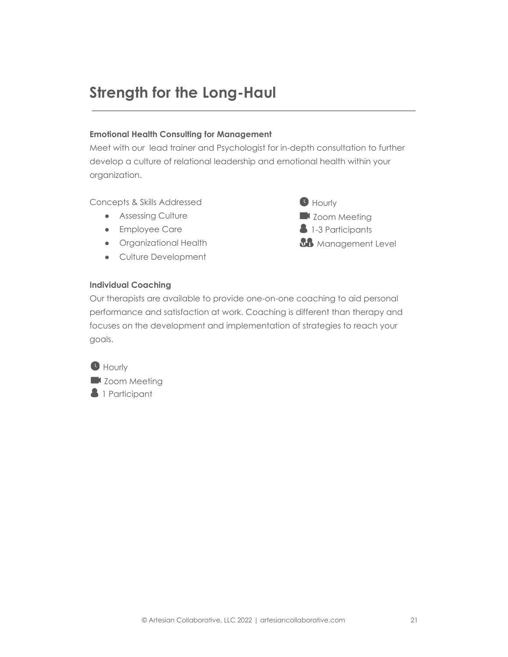## **Strength for the Long-Haul**

## **Emotional Health Consulting for Management**

Meet with our lead trainer and Psychologist for in-depth consultation to further develop a culture of relational leadership and emotional health within your organization.

Concepts & Skills Addressed

- Assessing Culture
- Employee Care
- Organizational Health
- Culture Development



#### **Individual Coaching**

Our therapists are available to provide one-on-one coaching to aid personal performance and satisfaction at work. Coaching is different than therapy and focuses on the development and implementation of strategies to reach your goals.

**Hourly Zoom Meeting 1** Participant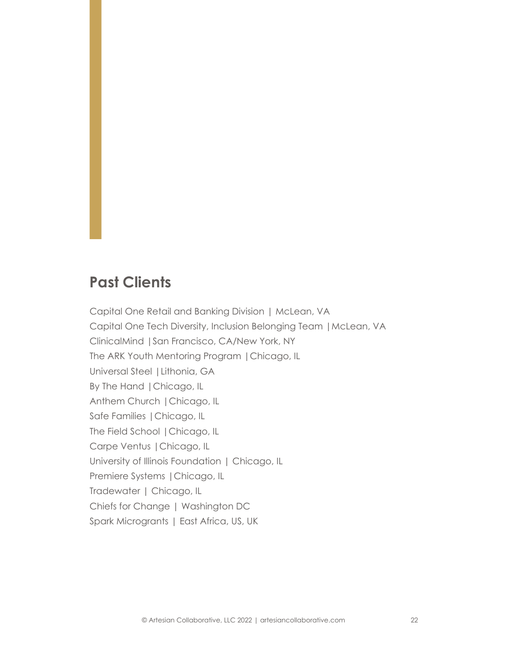## **Past Clients**

Capital One Retail and Banking Division | McLean, VA Capital One Tech Diversity, Inclusion Belonging Team |McLean, VA ClinicalMind |San Francisco, CA/New York, NY The ARK Youth Mentoring Program |Chicago, IL Universal Steel |Lithonia, GA By The Hand |Chicago, IL Anthem Church |Chicago, IL Safe Families |Chicago, IL The Field School |Chicago, IL Carpe Ventus |Chicago, IL University of Illinois Foundation | Chicago, IL Premiere Systems |Chicago, IL Tradewater | Chicago, IL Chiefs for Change | Washington DC Spark Microgrants | East Africa, US, UK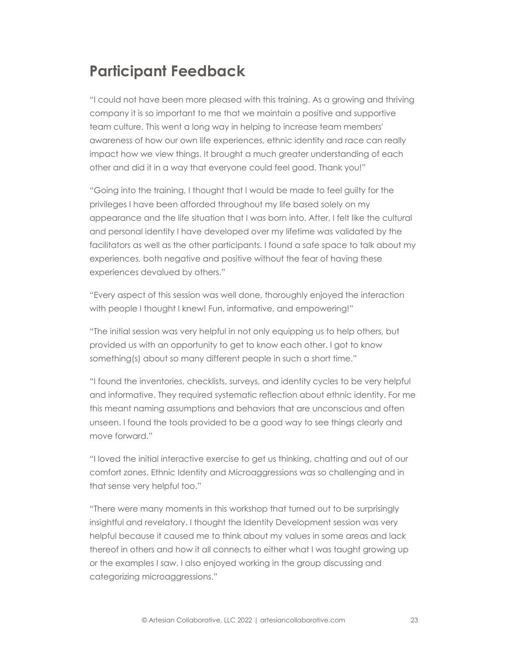## **Participant Feedback**

"I could not have been more pleased with this training. As a growing and thriving company it is so important to me that we maintain a positive and supportive team culture. This went a long way in helping to increase team members' awareness of how our own life experiences, ethnic identity and race can really impact how we view things. It brought a much greater understanding of each other and did it in a way that everyone could feel good. Thank you!"

"Going into the training, I thought that I would be made to feel guilty for the privileges I have been afforded throughout my life based solely on my appearance and the life situation that I was born into. After, I felt like the cultural and personal identity I have developed over my lifetime was validated by the facilitators as well as the other participants. I found a safe space to talk about my experiences, both negative and positive without the fear of having these experiences devalued by others."

"Every aspect of this session was well done, thoroughly enjoyed the interaction with people I thought I knew! Fun, informative, and empowering!"

"The initial session was very helpful in not only equipping us to help others, but provided us with an opportunity to get to know each other. I got to know something(s) about so many different people in such a short time."

"I found the inventories, checklists, surveys, and identity cycles to be very helpful and informative. They required systematic reflection about ethnic identity. For me this meant naming assumptions and behaviors that are unconscious and often unseen. I found the tools provided to be a good way to see things clearly and move forward."

"I loved the initial interactive exercise to get us thinking, chatting and out of our comfort zones. Ethnic Identity and Microaggressions was so challenging and in that sense very helpful too."

"There were many moments in this workshop that turned out to be surprisingly insightful and revelatory. I thought the Identity Development session was very helpful because it caused me to think about my values in some areas and lack thereof in others and how it all connects to either what I was taught growing up or the examples I saw. I also enjoyed working in the group discussing and categorizing microaggressions."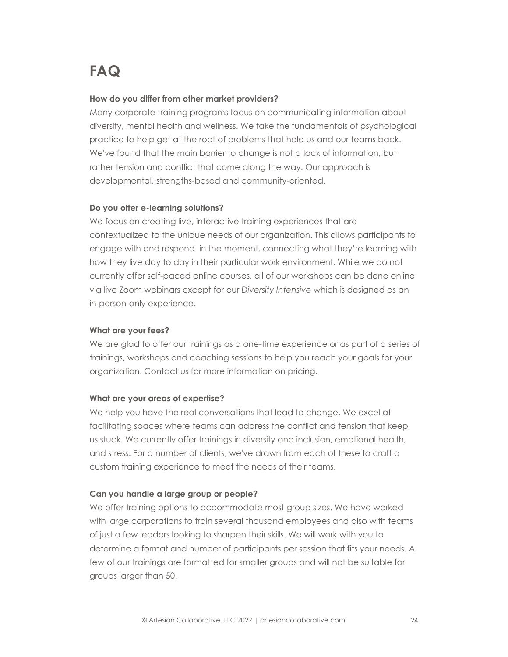# **FAQ**

#### **How do you differ from other market providers?**

Many corporate training programs focus on communicating information about diversity, mental health and wellness. We take the fundamentals of psychological practice to help get at the root of problems that hold us and our teams back. We've found that the main barrier to change is not a lack of information, but rather tension and conflict that come along the way. Our approach is developmental, strengths-based and community-oriented.

#### **Do you offer e-learning solutions?**

We focus on creating live, interactive training experiences that are contextualized to the unique needs of our organization. This allows participants to engage with and respond in the moment, connecting what they're learning with how they live day to day in their particular work environment. While we do not currently offer self-paced online courses, all of our workshops can be done online via live Zoom webinars except for our *Diversity Intensive* which is designed as an in-person-only experience.

#### **What are your fees?**

We are glad to offer our trainings as a one-time experience or as part of a series of trainings, workshops and coaching sessions to help you reach your goals for your organization. Contact us for more information on pricing.

#### **What are your areas of expertise?**

We help you have the real conversations that lead to change. We excel at facilitating spaces where teams can address the conflict and tension that keep us stuck. We currently offer trainings in diversity and inclusion, emotional health, and stress. For a number of clients, we've drawn from each of these to craft a custom training experience to meet the needs of their teams.

#### **Can you handle a large group or people?**

We offer training options to accommodate most group sizes. We have worked with large corporations to train several thousand employees and also with teams of just a few leaders looking to sharpen their skills. We will work with you to determine a format and number of participants per session that fits your needs. A few of our trainings are formatted for smaller groups and will not be suitable for groups larger than 50.